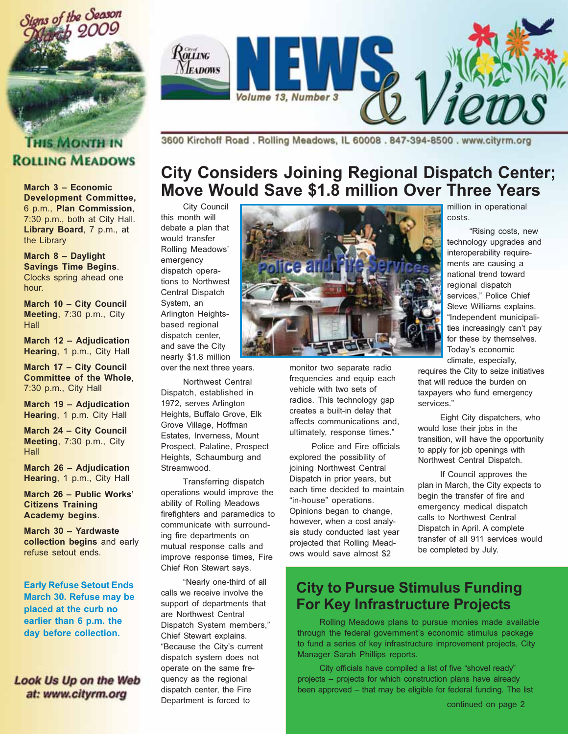



#### **THIS MONTH IN ROLLING MEADOWS**

March 3 - Economic **Development Committee.** 6 p.m., Plan Commission, 7:30 p.m., both at City Hall. Library Board, 7 p.m., at the Library

March 8 - Daylight **Savings Time Begins.** Clocks spring ahead one hour.

March 10 - City Council Meeting, 7:30 p.m., City Hall

March 12 - Adjudication Hearing, 1 p.m., City Hall

March 17 - City Council **Committee of the Whole,** 7:30 p.m., City Hall

March 19 - Adiudication Hearing, 1 p.m. City Hall

**March 24 - City Council** Meeting, 7:30 p.m., City Hall

**March 26 - Adjudication** Hearing, 1 p.m., City Hall

March 26 - Public Works' **Citizens Training** Academy begins.

March 30 - Yardwaste collection begins and early refuse setout ends.

**Early Refuse Setout Ends** March 30. Refuse may be placed at the curb no earlier than 6 p.m. the day before collection.

Look Us Up on the Web at: www.cityrm.org

3600 Kirchoff Road. Rolling Meadows, IL 60008. 847-394-8500. www.cityrm.org

## **City Considers Joining Regional Dispatch Center;** Move Would Save \$1.8 million Over Three Years

City Council this month will debate a plan that would transfer Rolling Meadows' emergency dispatch operations to Northwest Central Dispatch System, an Arlington Heightsbased regional dispatch center. and save the City nearly \$1.8 million

over the next three years.

Northwest Central Dispatch, established in 1972, serves Arlington Heights, Buffalo Grove, Elk Grove Village, Hoffman Estates. Inverness. Mount Prospect, Palatine, Prospect Heights, Schaumburg and Streamwood.

Transferring dispatch operations would improve the ability of Rolling Meadows firefighters and paramedics to communicate with surrounding fire departments on mutual response calls and improve response times, Fire Chief Ron Stewart says.

"Nearly one-third of all calls we receive involve the support of departments that are Northwest Central Dispatch System members," Chief Stewart explains. "Because the City's current dispatch system does not operate on the same frequency as the regional dispatch center, the Fire Department is forced to



monitor two separate radio frequencies and equip each vehicle with two sets of radios. This technology gap creates a built-in delay that affects communications and, ultimately, response times."

Police and Fire officials explored the possibility of joining Northwest Central Dispatch in prior years, but each time decided to maintain "in-house" operations. Opinions began to change, however, when a cost analysis study conducted last year projected that Rolling Meadows would save almost \$2

million in operational costs.

"Rising costs, new technology upgrades and interoperability requirements are causing a national trend toward regional dispatch services," Police Chief Steve Williams explains. "Independent municipalities increasingly can't pay for these by themselves. Today's economic climate, especially,

requires the City to seize initiatives that will reduce the burden on taxpayers who fund emergency services."

Eight City dispatchers, who would lose their jobs in the transition, will have the opportunity to apply for job openings with Northwest Central Dispatch.

If Council approves the plan in March, the City expects to begin the transfer of fire and emergency medical dispatch calls to Northwest Central Dispatch in April. A complete transfer of all 911 services would be completed by July.

#### **City to Pursue Stimulus Funding For Key Infrastructure Projects**

Rolling Meadows plans to pursue monies made available through the federal government's economic stimulus package to fund a series of key infrastructure improvement projects, City Manager Sarah Phillips reports.

City officials have compiled a list of five "shovel ready" projects - projects for which construction plans have already been approved - that may be eligible for federal funding. The list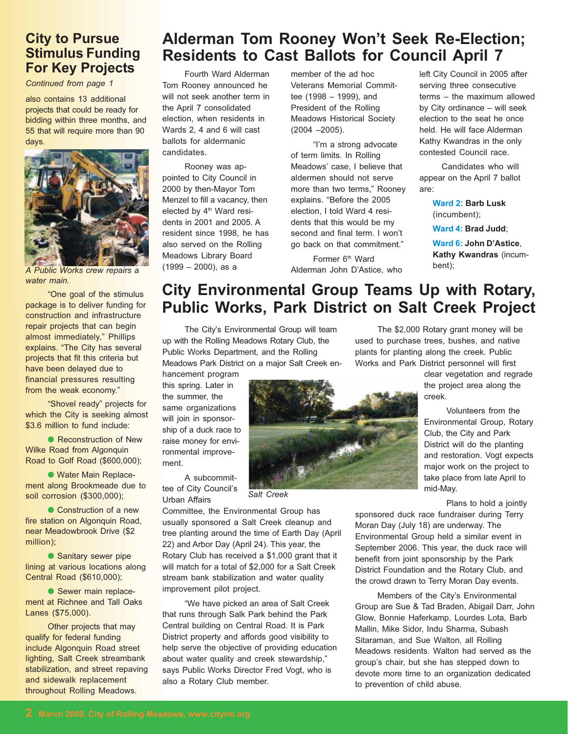#### **City to Pursue Stimulus Funding For Key Projects**

Continued from page 1

also contains 13 additional projects that could be ready for bidding within three months, and 55 that will require more than 90 days.



A Public Works crew repairs a water main.

"One goal of the stimulus package is to deliver funding for construction and infrastructure repair projects that can begin almost immediately," Phillips explains. "The City has several projects that fit this criteria but have been delayed due to financial pressures resulting from the weak economy."

"Shovel ready" projects for which the City is seeking almost \$3.6 million to fund include:

• Reconstruction of New **Wilke Road from Algonquin** Road to Golf Road (\$600,000);

· Water Main Replacement along Brookmeade due to soil corrosion (\$300,000);

• Construction of a new fire station on Algonquin Road, near Meadowbrook Drive (\$2 million):

• Sanitary sewer pipe lining at various locations along Central Road (\$610,000);

Sewer main replacement at Richnee and Tall Oaks Lanes (\$75,000).

Other projects that may qualify for federal funding include Algonquin Road street lighting, Salt Creek streambank stabilization, and street repaving and sidewalk replacement throughout Rolling Meadows.

#### Alderman Tom Rooney Won't Seek Re-Election; Residents to Cast Ballots for Council April 7

Fourth Ward Alderman Tom Rooney announced he will not seek another term in the April 7 consolidated election, when residents in Wards 2, 4 and 6 will cast ballots for aldermanic candidates.

Rooney was appointed to City Council in 2000 by then-Mayor Tom Menzel to fill a vacancy, then elected by 4<sup>th</sup> Ward residents in 2001 and 2005. A resident since 1998, he has also served on the Rolling Meadows Library Board  $(1999 - 2000)$ , as a

member of the ad hoc **Veterans Memorial Commit**tee (1998 - 1999), and President of the Rolling **Meadows Historical Society**  $(2004 - 2005)$ .

"I'm a strong advocate of term limits. In Rolling Meadows' case. I believe that aldermen should not serve more than two terms." Roonev explains. "Before the 2005 election. I told Ward 4 residents that this would be my second and final term. I won't go back on that commitment."

Former 6<sup>th</sup> Ward Alderman John D'Astice, who

left City Council in 2005 after serving three consecutive terms - the maximum allowed by City ordinance - will seek election to the seat he once held. He will face Alderman Kathy Kwandras in the only contested Council race.

Candidates who will appear on the April 7 ballot are:

> **Ward 2: Barb Lusk** (incumbent);

Ward 4: Brad Judd;

Ward 6: John D'Astice Kathy Kwandras (incumbent);

#### City Environmental Group Teams Up with Rotary, **Public Works, Park District on Salt Creek Project**

The City's Environmental Group will team up with the Rolling Meadows Rotary Club, the Public Works Department, and the Rolling Meadows Park District on a major Salt Creek en-

hancement program this spring. Later in the summer, the same organizations will join in sponsorship of a duck race to raise money for environmental improvement.

A subcommittee of City Council's Urban Affairs

Salt Creek

Committee, the Environmental Group has usually sponsored a Salt Creek cleanup and tree planting around the time of Earth Day (April 22) and Arbor Day (April 24). This year, the Rotary Club has received a \$1,000 grant that it will match for a total of \$2,000 for a Salt Creek stream bank stabilization and water quality improvement pilot project.

"We have picked an area of Salt Creek that runs through Salk Park behind the Park Central building on Central Road. It is Park District property and affords good visibility to help serve the objective of providing education about water quality and creek stewardship," says Public Works Director Fred Vogt, who is also a Rotary Club member.

The \$2,000 Rotary grant money will be used to purchase trees, bushes, and native plants for planting along the creek. Public Works and Park District personnel will first

> clear vegetation and regrade the project area along the creek.

Volunteers from the Environmental Group, Rotary Club, the City and Park District will do the planting and restoration. Vogt expects major work on the project to take place from late April to mid-May.

Plans to hold a jointly

sponsored duck race fundraiser during Terry Moran Day (July 18) are underway. The Environmental Group held a similar event in September 2006. This year, the duck race will benefit from joint sponsorship by the Park District Foundation and the Rotary Club, and the crowd drawn to Terry Moran Day events.

Members of the City's Environmental Group are Sue & Tad Braden, Abigail Darr, John Glow, Bonnie Haferkamp, Lourdes Lota, Barb Mallin, Mike Sidor, Indu Sharma, Subash Sitaraman, and Sue Walton, all Rolling Meadows residents. Walton had served as the group's chair, but she has stepped down to devote more time to an organization dedicated to prevention of child abuse.

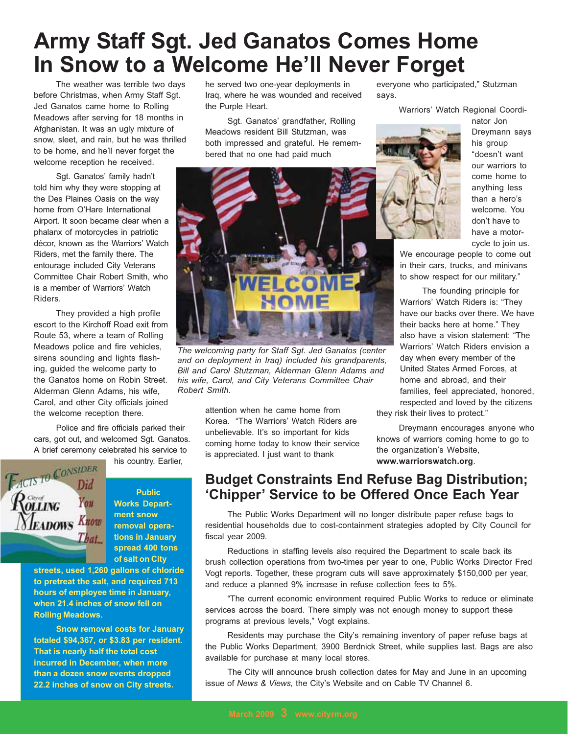# **Army Staff Sgt. Jed Ganatos Comes Home** In Snow to a Welcome He'll Never Forget

The weather was terrible two days before Christmas, when Army Staff Sqt. Jed Ganatos came home to Rolling Meadows after serving for 18 months in Afghanistan. It was an ugly mixture of snow, sleet, and rain, but he was thrilled to be home, and he'll never forget the welcome reception he received.

Sgt. Ganatos' family hadn't told him why they were stopping at the Des Plaines Oasis on the way home from O'Hare International Airport. It soon became clear when a phalanx of motorcycles in patriotic décor, known as the Warriors' Watch Riders, met the family there. The entourage included City Veterans Committee Chair Robert Smith, who is a member of Warriors' Watch Riders.

They provided a high profile escort to the Kirchoff Road exit from Route 53, where a team of Rolling Meadows police and fire vehicles, sirens sounding and lights flashing, guided the welcome party to the Ganatos home on Robin Street. Alderman Glenn Adams, his wife, Carol, and other City officials joined the welcome reception there.

Police and fire officials parked their cars, got out, and welcomed Sgt. Ganatos. A brief ceremony celebrated his service to

**EACTS TO CONSIDER** You **EADOWS Know** 

**Public Works Depart**ment snow removal operations in January spread 400 tons of salt on City

his country. Earlier,

streets, used 1,260 gallons of chloride to pretreat the salt, and required 713 hours of employee time in January, when 21.4 inches of snow fell on **Rolling Meadows.** 

That

**Snow removal costs for January** totaled \$94,367, or \$3.83 per resident. That is nearly half the total cost incurred in December, when more than a dozen snow events dropped 22.2 inches of snow on City streets.

he served two one-year deployments in Iraq, where he was wounded and received the Purple Heart.

Sgt. Ganatos' grandfather, Rolling Meadows resident Bill Stutzman, was both impressed and grateful. He remembered that no one had paid much



The welcoming party for Staff Sqt. Jed Ganatos (center and on deployment in Iraq) included his grandparents, Bill and Carol Stutzman, Alderman Glenn Adams and his wife, Carol, and City Veterans Committee Chair Robert Smith.

attention when he came home from Korea. "The Warriors' Watch Riders are unbelievable. It's so important for kids coming home today to know their service is appreciated. I just want to thank

everyone who participated," Stutzman says.

Warriors' Watch Regional Coordi-



nator Jon Dreymann says his group "doesn't want our warriors to come home to anything less than a hero's welcome. You don't have to have a motorcycle to join us.

We encourage people to come out in their cars, trucks, and minivans to show respect for our military."

The founding principle for Warriors' Watch Riders is: "They have our backs over there. We have their backs here at home." They also have a vision statement: "The Warriors' Watch Riders envision a day when every member of the United States Armed Forces, at home and abroad, and their families, feel appreciated, honored, respected and loved by the citizens

they risk their lives to protect."

Dreymann encourages anyone who knows of warriors coming home to go to the organization's Website. www.warriorswatch.org.

#### **Budget Constraints End Refuse Bag Distribution;** 'Chipper' Service to be Offered Once Each Year

The Public Works Department will no longer distribute paper refuse bags to residential households due to cost-containment strategies adopted by City Council for fiscal year 2009.

Reductions in staffing levels also required the Department to scale back its brush collection operations from two-times per year to one, Public Works Director Fred Vogt reports. Together, these program cuts will save approximately \$150,000 per year, and reduce a planned 9% increase in refuse collection fees to 5%.

"The current economic environment required Public Works to reduce or eliminate services across the board. There simply was not enough money to support these programs at previous levels," Vogt explains.

Residents may purchase the City's remaining inventory of paper refuse bags at the Public Works Department, 3900 Berdnick Street, while supplies last. Bags are also available for purchase at many local stores.

The City will announce brush collection dates for May and June in an upcoming issue of News & Views, the City's Website and on Cable TV Channel 6.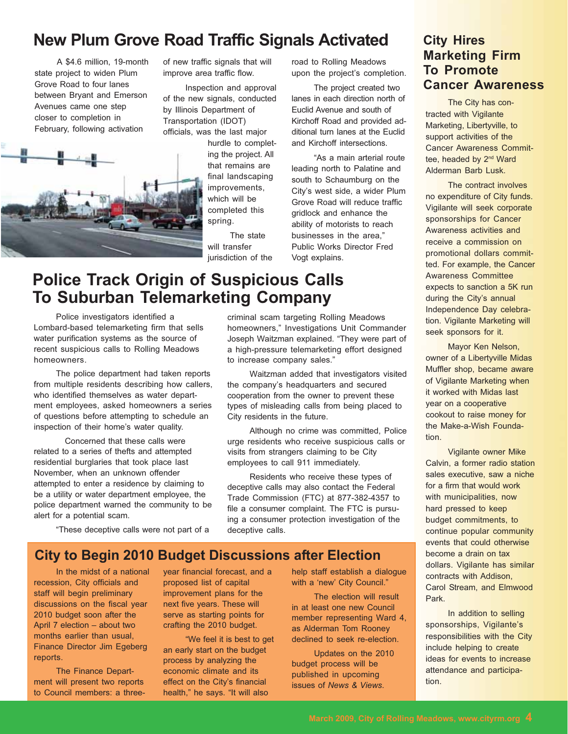## **New Plum Grove Road Traffic Signals Activated**

A \$4.6 million, 19-month state project to widen Plum Grove Road to four lanes between Bryant and Emerson Avenues came one step closer to completion in February, following activation



of new traffic signals that will improve area traffic flow.

Inspection and approval of the new signals, conducted by Illinois Department of Transportation (IDOT) officials, was the last major

> hurdle to completing the project. All that remains are final landscaping improvements, which will be completed this spring.

The state will transfer jurisdiction of the road to Rolling Meadows upon the project's completion.

The project created two lanes in each direction north of Euclid Avenue and south of Kirchoff Road and provided additional turn lanes at the Euclid and Kirchoff intersections

"As a main arterial route leading north to Palatine and south to Schaumburg on the City's west side, a wider Plum Grove Road will reduce traffic gridlock and enhance the ability of motorists to reach businesses in the area." Public Works Director Fred Vogt explains.

criminal scam targeting Rolling Meadows

the company's headquarters and secured

cooperation from the owner to prevent these

types of misleading calls from being placed to

urge residents who receive suspicious calls or

Residents who receive these types of

deceptive calls may also contact the Federal

Trade Commission (FTC) at 877-382-4357 to

file a consumer complaint. The FTC is pursu-

ing a consumer protection investigation of the

visits from strangers claiming to be City

employees to call 911 immediately.

to increase company sales."

City residents in the future.

deceptive calls.

homeowners." Investigations Unit Commander

Joseph Waitzman explained. "They were part of

a high-pressure telemarketing effort designed

Waitzman added that investigators visited

Although no crime was committed. Police

#### **City Hires Marketing Firm To Promote Cancer Awareness**

The City has contracted with Vigilante Marketing, Libertyville, to support activities of the **Cancer Awareness Commit**tee, headed by 2<sup>nd</sup> Ward Alderman Barb Lusk.

The contract involves no expenditure of City funds. Vigilante will seek corporate sponsorships for Cancer Awareness activities and receive a commission on promotional dollars committed. For example, the Cancer **Awareness Committee** expects to sanction a 5K run during the City's annual Independence Day celebration. Vigilante Marketing will seek sponsors for it.

Mayor Ken Nelson, owner of a Libertyville Midas Muffler shop, became aware of Vigilante Marketing when it worked with Midas last year on a cooperative cookout to raise money for the Make-a-Wish Founda $tion$ 

**Vigilante owner Mike** Calvin, a former radio station sales executive, saw a niche for a firm that would work with municipalities, now hard pressed to keep budget commitments, to continue popular community events that could otherwise become a drain on tax dollars. Vigilante has similar contracts with Addison, Carol Stream, and Elmwood Park.

In addition to selling sponsorships, Vigilante's responsibilities with the City include helping to create ideas for events to increase attendance and participa $tion$ 

#### **Police Track Origin of Suspicious Calls To Suburban Telemarketing Company**

Police investigators identified a Lombard-based telemarketing firm that sells water purification systems as the source of recent suspicious calls to Rolling Meadows homeowners.

The police department had taken reports from multiple residents describing how callers. who identified themselves as water department employees, asked homeowners a series of questions before attempting to schedule an inspection of their home's water quality.

Concerned that these calls were related to a series of thefts and attempted residential burglaries that took place last November, when an unknown offender attempted to enter a residence by claiming to be a utility or water department employee, the police department warned the community to be alert for a potential scam.

"These deceptive calls were not part of a

## **City to Begin 2010 Budget Discussions after Election**

In the midst of a national recession, City officials and staff will begin preliminary discussions on the fiscal year 2010 budget soon after the April 7 election - about two months earlier than usual, **Finance Director Jim Egeberg** reports.

The Finance Department will present two reports to Council members: a threeyear financial forecast, and a proposed list of capital improvement plans for the next five years. These will serve as starting points for crafting the 2010 budget.

"We feel it is best to get an early start on the budget process by analyzing the economic climate and its effect on the City's financial health," he says. "It will also

help staff establish a dialogue with a 'new' City Council."

The election will result in at least one new Council member representing Ward 4, as Alderman Tom Rooney declined to seek re-election.

Updates on the 2010 budget process will be published in upcoming issues of News & Views.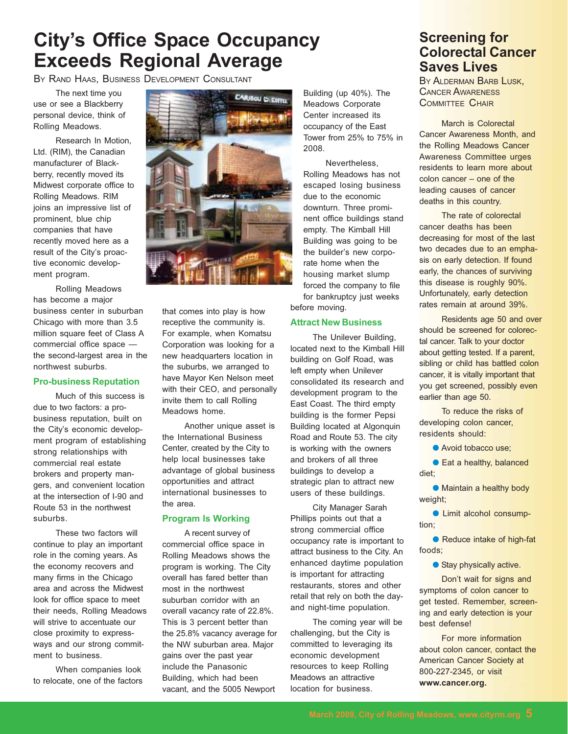# **City's Office Space Occupancy Exceeds Regional Average**

BY RAND HAAS. BUSINESS DEVELOPMENT CONSULTANT

The next time you use or see a Blackberry personal device, think of Rolling Meadows.

Research In Motion. Ltd. (RIM), the Canadian manufacturer of Blackberry, recently moved its Midwest corporate office to Rolling Meadows. RIM joins an impressive list of prominent, blue chip companies that have recently moved here as a result of the City's proactive economic development program.

Rolling Meadows has become a major business center in suburban Chicago with more than 3.5 million square feet of Class A commercial office space the second-largest area in the northwest suburbs.

#### **Pro-business Reputation**

Much of this success is due to two factors: a probusiness reputation, built on the City's economic development program of establishing strong relationships with commercial real estate brokers and property mangers, and convenient location at the intersection of I-90 and Route 53 in the northwest suburbs.

These two factors will continue to play an important role in the coming years. As the economy recovers and many firms in the Chicago area and across the Midwest look for office space to meet their needs, Rolling Meadows will strive to accentuate our close proximity to expressways and our strong commitment to business.

When companies look to relocate, one of the factors



that comes into play is how receptive the community is. For example, when Komatsu Corporation was looking for a new headquarters location in the suburbs, we arranged to have Mayor Ken Nelson meet with their CEO, and personally invite them to call Rolling Meadows home.

Another unique asset is the International Business Center, created by the City to help local businesses take advantage of global business opportunities and attract international businesses to the area.

#### **Program Is Working**

A recent survey of commercial office space in Rolling Meadows shows the program is working. The City overall has fared better than most in the northwest suburban corridor with an overall vacancy rate of 22.8%. This is 3 percent better than the 25.8% vacancy average for the NW suburban area. Major gains over the past year include the Panasonic Building, which had been vacant, and the 5005 Newport

Building (up 40%). The Meadows Corporate Center increased its occupancy of the East Tower from 25% to 75% in 2008.

Nevertheless, Rolling Meadows has not escaped losing business due to the economic downturn. Three prominent office buildings stand empty. The Kimball Hill Building was going to be the builder's new corporate home when the housing market slump forced the company to file for bankruptcy just weeks before movina.

#### **Attract New Business**

The Unilever Building, located next to the Kimball Hill building on Golf Road, was left empty when Unilever consolidated its research and development program to the East Coast. The third empty building is the former Pepsi Building located at Algonquin Road and Route 53. The city is working with the owners and brokers of all three buildings to develop a strategic plan to attract new users of these buildings.

City Manager Sarah Phillips points out that a strong commercial office occupancy rate is important to attract business to the City. An enhanced davtime population is important for attracting restaurants, stores and other retail that rely on both the dayand night-time population.

The coming year will be challenging, but the City is committed to leveraging its economic development resources to keep Rolling Meadows an attractive location for business.

#### **Screening for Colorectal Cancer Saves Lives**

BY ALDERMAN BARB LUSK. **CANCER AWARENESS COMMITTEE CHAIR** 

March is Colorectal **Cancer Awareness Month, and** the Rolling Meadows Cancer **Awareness Committee urges** residents to learn more about colon cancer - one of the leading causes of cancer deaths in this country.

The rate of colorectal cancer deaths has been decreasing for most of the last two decades due to an emphasis on early detection. If found early, the chances of surviving this disease is roughly 90%. Unfortunately, early detection rates remain at around 39%.

Residents age 50 and over should be screened for colorectal cancer. Talk to your doctor about getting tested. If a parent, sibling or child has battled colon cancer, it is vitally important that you get screened, possibly even earlier than age 50.

To reduce the risks of developing colon cancer, residents should:

Avoid tobacco use:

● Eat a healthy, balanced diet;

• Maintain a healthy body weight;

• Limit alcohol consumption:

● Reduce intake of high-fat foods:

Stay physically active.

Don't wait for signs and symptoms of colon cancer to get tested. Remember, screening and early detection is your best defense!

For more information about colon cancer, contact the American Cancer Society at 800-227-2345, or visit www.cancer.org.